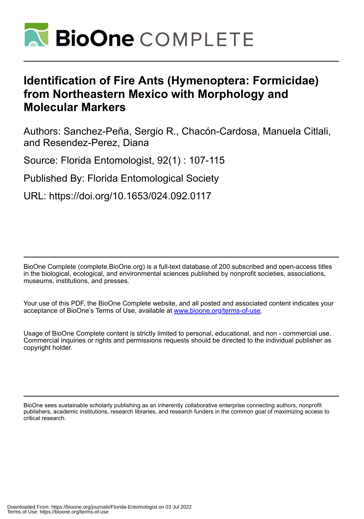

# **Identification of Fire Ants (Hymenoptera: Formicidae) from Northeastern Mexico with Morphology and Molecular Markers**

Authors: Sanchez-Peña, Sergio R., Chacón-Cardosa, Manuela Citlali, and Resendez-Perez, Diana

Source: Florida Entomologist, 92(1) : 107-115

Published By: Florida Entomological Society

URL: https://doi.org/10.1653/024.092.0117

BioOne Complete (complete.BioOne.org) is a full-text database of 200 subscribed and open-access titles in the biological, ecological, and environmental sciences published by nonprofit societies, associations, museums, institutions, and presses.

Your use of this PDF, the BioOne Complete website, and all posted and associated content indicates your acceptance of BioOne's Terms of Use, available at www.bioone.org/terms-of-use.

Usage of BioOne Complete content is strictly limited to personal, educational, and non - commercial use. Commercial inquiries or rights and permissions requests should be directed to the individual publisher as copyright holder.

BioOne sees sustainable scholarly publishing as an inherently collaborative enterprise connecting authors, nonprofit publishers, academic institutions, research libraries, and research funders in the common goal of maximizing access to critical research.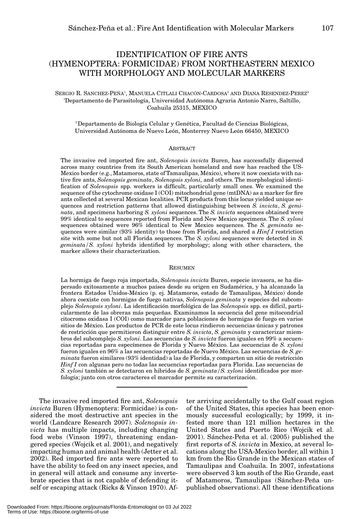# IDENTIFICATION OF FIRE ANTS (HYMENOPTERA: FORMICIDAE) FROM NORTHEASTERN MEXICO WITH MORPHOLOGY AND MOLECULAR MARKERS

## SERGIO R. SANCHEZ-PEÑA<sup>1</sup>, MANUELA CITLALI CHACÓN-CARDOSA<sup>2</sup> AND DIANA RESENDEZ-PEREZ<sup>2</sup> 1 Departamento de Parasitología, Universidad Autónoma Agraria Antonio Narro, Saltillo, Coahuila 25315, MEXICO

<sup>2</sup> Departamento de Biología Celular y Genética, Facultad de Ciencias Biológicas, Universidad Autónoma de Nuevo León, Monterrey Nuevo León 66450, MEXICO

#### **ABSTRACT**

The invasive red imported fire ant, *Solenopsis invicta* Buren, has successfully dispersed across many countries from its South American homeland and now has reached the US-Mexico border (e.g., Matamoros, state of Tamaulipas, México), where it now coexists with native fire ants, *Solenopsis geminata*, *Solenopsis xyloni,* and others. The morphological identification of *Solenopsis* spp. workers is difficult, particularly small ones. We examined the sequence of the cytochrome oxidase I (COI) mitochondrial gene (mtDNA) as a marker for fire ants collected at several Mexican localities. PCR products from this locus yielded unique sequences and restriction patterns that allowed distinguishing between *S. invicta*, *S. geminata*, and specimens harboring *S. xyloni* sequences. The *S. invicta* sequences obtained were 99% identical to sequences reported from Florida and New Mexico specimens. The *S. xyloni* sequences obtained were 96% identical to New Mexico sequences. The *S. geminata* sequences were similar (93% identity) to those from Florida, and shared a *Hinf I* restriction site with some but not all Florida sequences. The *S. xyloni* sequences were detected in *S. geminata/S. xyloni* hybrids identified by morphology; along with other characters, the marker allows their characterization.

#### RESUMEN

La hormiga de fuego roja importada, *Solenopsis invicta* Buren, especie invasora, se ha dispersado exitosamente a muchos países desde su origen en Sudamérica, y ha alcanzado la frontera Estados Unidos-México (p. ej. Matamoros, estado de Tamaulipas, México) donde ahora coexiste con hormigas de fuego nativas, *Solenopsis geminata* y especies del subcomplejo *Solenopsis xyloni*. La identificación morfológica de las *Solenopsis* spp. es difícil, particularmente de las obreras más pequeñas. Examinamos la secuencia del gene mitocondrial citocromo oxidasa I (COI) como marcador para poblaciones de hormigas de fuego en varios sitios de México. Los productos de PCR de este locus rindieron secuencias únicas y patrones de restricción que permitieron distinguir entre *S. invicta*, *S. geminata* y caracterizar miembros del subcomplejo *S. xyloni*. Las secuencias de *S. invicta* fueron iguales en 99% a secuencias reportadas para especímenes de Florida y Nuevo México. Las secuencias de *S. xyloni* fueron iguales en 96% a las secuencias reportadas de Nuevo México. Las secuencias de *S. geminata* fueron similares (93% identidad) a las de Florida, y comparten un sitio de restricción *Hinf I* con algunas pero no todas las secuencias reportadas para Florida. Las secuencias de *S. xyloni* también se detectaron en hibridos de *S. geminata/S. xyloni* identificados por morfología; junto con otros caracteres el marcador permite su caracterización.

The invasive red imported fire ant, *Solenopsis invicta* Buren (Hymenoptera: Formicidae) is considered the most destructive ant species in the world (Landcare Research 2007). *Solenopsis invicta* has multiple impacts, including changing food webs (Vinson 1997), threatening endangered species (Wojcik et al. 2001), and negatively impacting human and animal health (Jetter et al. 2002). Red imported fire ants were reported to have the ability to feed on any insect species, and in general will attack and consume any invertebrate species that is not capable of defending itself or escaping attack (Ricks & Vinson 1970). After arriving accidentally to the Gulf coast region of the United States, this species has been enormously successful ecologically; by 1999, it infested more than 121 million hectares in the United States and Puerto Rico (Wojcik et al. 2001). Sánchez-Peña et al. (2005) published the first reports of *S. invicta* in Mexico, at several locations along the USA-Mexico border, all within 1 km from the Rio Grande in the Mexican states of Tamaulipas and Coahuila. In 2007, infestations were observed 3 km south of the Rio Grande, east of Matamoros, Tamaulipas (Sánchez-Peña unpublished observations). All these identifications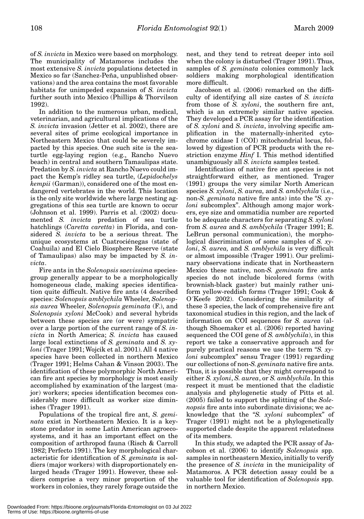of *S. invicta* in Mexico were based on morphology. The municipality of Matamoros includes the most extensive *S. invicta* populations detected in Mexico so far (Sanchez-Peña, unpublished observations) and the area contains the most favorable habitats for unimpeded expansion of *S. invicta* further south into Mexico (Phillips & Thorvilson 1992).

In addition to the numerous urban, medical, veterinarian, and agricultural implications of the *S. invicta* invasion (Jetter et al. 2002), there are several sites of prime ecological importance in Northeastern Mexico that could be severely impacted by this species. One such site is the seaturtle egg-laying region (e.g., Rancho Nuevo beach) in central and southern Tamaulipas state. Predation by *S. invicta* at Rancho Nuevo could impact the Kemp's ridley sea turtle, (*Lepidochelys kempii* (Garman)), considered one of the most endangered vertebrates in the world. This location is the only site worldwide where large nesting aggregations of this sea turtle are known to occur (Johnson et al. 1999). Parris et al. (2002) documented *S. invicta* predation of sea turtle hatchlings (*Caretta caretta*) in Florida, and considered *S. invicta* to be a serious threat. The unique ecosystems at Cuatrociénegas (state of Coahuila) and El Cielo Biosphere Reserve (state of Tamaulipas) also may be impacted by *S. invicta*.

Fire ants in the *Solenopsis saevissima* speciesgroup generally appear to be a morphologically homogeneous clade, making species identification quite difficult. Native fire ants (4 described species: *Solenopsis amblychila* Wheeler, *Solenopsis aurea* Wheeler, *Solenopsis geminata* (F.), and *Solenopsis xyloni* McCook) and several hybrids between these species are (or were) sympatric over a large portion of the current range of *S. invicta* in North America; *S. invicta* has caused large local extinctions of *S. geminata* and *S. xyloni* (Trager 1991; Wojcik et al. 2001). All 4 native species have been collected in northern Mexico (Trager 1991; Helms Cahan & Vinson 2003). The identification of these polymorphic North American fire ant species by morphology is most easily accomplished by examination of the largest (major) workers; species identification becomes considerably more difficult as worker size diminishes (Trager 1991).

Populations of the tropical fire ant, *S. geminata* exist in Northeastern Mexico. It is a keystone predator in some Latin American agroecosystems, and it has an important effect on the composition of arthropod fauna (Risch & Carroll 1982; Perfecto 1991). The key morphological characteristic for identification of *S. geminata* is soldiers (major workers) with disproportionately enlarged heads (Trager 1991). However, these soldiers comprise a very minor proportion of the workers in colonies, they rarely forage outside the

nest, and they tend to retreat deeper into soil when the colony is disturbed (Trager 1991). Thus, samples of *S. geminata* colonies commonly lack soldiers making morphological identification more difficult.

Jacobson et al. (2006) remarked on the difficulty of identifying all size castes of *S. invicta* from those of *S. xyloni*, the southern fire ant, which is an extremely similar native species. They developed a PCR assay for the identification of *S. xyloni* and *S. invicta*, involving specific amplification in the maternally-inherited cytochrome oxidase I (COI) mitochondrial locus, followed by digestion of PCR products with the restriction enzyme *Hinf* I. This method identified unambiguously all *S. invicta* samples tested.

Identification of native fire ant species is not straightforward either, as mentioned. Trager (1991) groups the very similar North American species *S. xyloni*, *S. aurea,* and *S. amblychila* (i.e., non-*S. geminata* native fire ants) into the "*S. xyloni* subcomplex". Although among major workers, eye size and ommatidia number are reported to be adequate characters for separating *S. xyloni* from *S. aurea* and *S. amblychila* (Trager 1991; E. LeBrun personal communication), the morphological discrimination of some samples of *S. xyloni*, *S. aurea,* and *S. amblychila* is very difficult or almost impossible (Trager 1991). Our preliminary observations indicate that in Northeastern Mexico these native, non-*S. geminata* fire ants species do not include bicolored forms (with brownish-black gaster) but mainly rather uniform yellow-reddish forms (Trager 1991; Cook & O´Keefe 2002). Considering the similarity of these 3 species, the lack of comprehensive fire ant taxonomical studies in this region, and the lack of information on COI sequences for *S. aurea* (although Shoemaker et al. (2006) reported having sequenced the COI gene of *S. amblychila*), in this report we take a conservative approach and for purely practical reasons we use the term "*S. xyloni* subcomplex" sensu Trager (1991) regarding our collections of non-*S. geminata* native fire ants. Thus, it is possible that they might correspond to either *S. xyloni*, *S. aurea*, or *S. amblychila*. In this respect it must be mentioned that the cladistic analysis and phylogenetic study of Pitts et al. (2005) failed to support the splitting of the *Solenopsis* fire ants into subordinate divisions; we acknowledge that the "*S. xyloni* subcomplex" of Trager (1991) might not be a phylogenetically supported clade despite the apparent relatedness of its members.

In this study, we adapted the PCR assay of Jacobson et al. (2006) to identify *Solenopsis* spp. samples in northeastern Mexico, initially to verify the presence of *S. invicta* in the municipality of Matamoros. A PCR detection assay could be a valuable tool for identification of *Solenopsis* spp. in northern Mexico.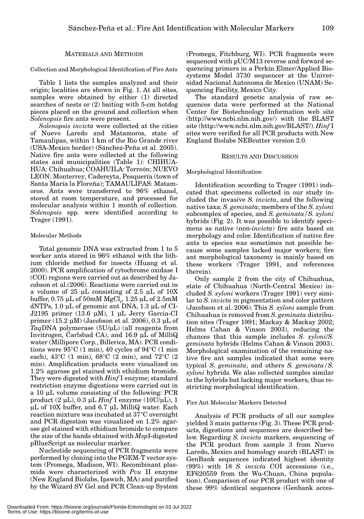## MATERIALS AND METHODS

Collection and Morphological Identification of Fire Ants

Table 1 lists the samples analyzed and their origin; localities are shown in Fig. 1. At all sites, samples were obtained by either (1) directed searches of nests or (2) baiting with 5-cm hotdog pieces placed on the ground and collection when *Solenopsis* fire ants were present.

*Solenopsis invicta* were collected at the cities of Nuevo Laredo and Matamoros, state of Tamaulipas, within 1 km of the Rio Grande river (USA-Mexico border) (Sánchez-Peña et al. 2005). Native fire ants were collected at the following states and municipalities (Table 1): CHIHUA-HUA: Chihuahua; COAHUILA: Torreón; NUEVO LEON: Monterrey, Cadereyta, Pesquería (town of Santa María la Floreña); TAMAULIPAS: Matamoros. Ants were transferred to 96% ethanol, stored at room temperature, and processed for molecular analysis within 1 month of collection. *Solenopsis* spp. were identified according to Trager (1991).

#### Molecular Methods

Total genomic DNA was extracted from 1 to 5 worker ants stored in 96% ethanol with the lithium chloride method for insects (Huang et al. 2000). PCR amplification of cytochrome oxidase I (COI) regions were carried out as described by Jacobson et al.(2006). Reactions were carried out in a volume of 25 μL consisting of 2.5 μL of 10X buffer,  $0.75$  μL of  $50$ mM MgCl<sub>2</sub>,  $1.25$  μL of  $2.5$ mM dNTPs, 1.0 μL of genomic ant DNA, 1.3 μL of CI-J2195 primer (13.6 μM), 1 μL Jerry Garcia-CI primer (15.2 μM) (Jacobson et al. 2006), 0.3 μL of *Taq*DNA polymerase (5U/μL) (all reagents from Invitrogen, Carlsbad CA), and 16.9 μL of MilliQ water (Millipore Corp., Billerica, MA). PCR conditions were  $95^{\circ}$ C (1 min), 40 cycles of  $94^{\circ}$ C (1 min each), 43°C (1 min), 68°C (2 min), and 72°C (2 min). Amplification products were visualized on 1.2% agarose gel stained with ethidium bromide. They were digested with *Hinf* I enzyme; standard restriction enzyme digestions were carried out in a 10 μL volume consisting of the following: PCR product (2 μL), 0.3 μL *Hinf* I enzyme (10U/μL), 1 μL of 10X buffer, and 6.7 μL MilliQ water. Each reaction mixture was incubated at 37°C overnight and PCR digestion was visualized on 1.2% agarose gel stained with ethidium bromide to compare the size of the bands obtained with *Msp*I-digested pBlueScript as molecular marker.

Nucleotide sequencing of PCR fragments were performed by cloning into the PGEM-T vector system (Promega, Madison, WI). Recombinant plasmids were characterized with *Pvu* II enzyme (New England Biolabs, Ipswich, MA) and purified by the Wizard SV Gel and PCR Clean-up System

(Promega, Fitchburg, WI). PCR fragments were sequenced with pUC/M13 reverse and forward sequencing primers in a Perkin Elmer/Applied Biosystems Model 3730 sequencer at the Universidad Nacional Autonoma de Mexico (UNAM) Sequencing Facility, Mexico City.

The standard genetic analysis of raw sequences data were performed at the National Center for Biotechnology Information web site (http://www.ncbi.nlm.nih.gov/) with the BLAST site (http://www.ncbi.nlm.nih.gov/BLAST/). *Hinf* I sites were verified for all PCR products with New England Biolabs NEBcutter version 2.0.

#### RESULTS AND DISCUSSION

#### Morphological Identification

Identification according to Trager (1991) indicated that specimens collected in our study included the invasive *S. invicta*, and the following native taxa: *S. geminata*; members of the *S. xyloni* subcomplex of species, and *S. geminata/S. xyloni* hybrids (Fig. 2). It was possible to identify specimens as native (non-*invicta*) fire ants based on morphology and color. Identification of native fire ants to species was sometimes not possible because some samples lacked major workers; fire ant morphological taxonomy is mainly based on these workers (Trager 1991, and references therein).

Only sample 2 from the city of Chihuahua, state of Chihuahua (North-Central Mexico) included *S. xyloni* workers (Trager 1991) very similar to *S. invicta* in pigmentation and color pattern (Jacobson et al. 2006). This *S. xyloni* sample from Chihuahua is removed from *S. geminata* distribution sites (Trager 1991; Mackay & Mackay 2002; Helms Cahan & Vinson 2003), reducing the chances that this sample includes *S*. *xyloni*/*S. geminata* hybrids (Helms Cahan & Vinson 2003). Morphological examination of the remaining native fire ant samples indicated that some were typical *S. geminata*, and others *S. geminata/S. xyloni* hybrids. We also collected samples similar to the hybrids but lacking major workers, thus restricting morphological identification.

#### Fire Ant Molecular Markers Detected

Analysis of PCR products of all our samples yielded 3 main patterns (Fig. 3). These PCR products, digestions and sequences are described below. Regarding *S. invicta* markers, sequencing of the PCR product from sample 3 from Nuevo Laredo, Mexico and homology search (BLAST) in GenBank sequences indicated highest identity (99%) with 18 *S. invicta* COI accessions (i.e., EF620559 from the Wu-Chuan, China population). Comparison of our PCR product with one of these 99% identical sequences (Genbank acces-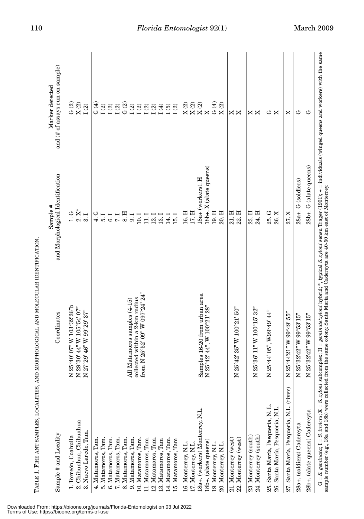| zzz<br>2. Chihuahua, Chihuahua<br>3. Nuevo Laredo, Tam.<br>1. Torreón, Coahuila<br>6. Matamoros, Tam.<br>5. Matamoros, Tam.<br>4. Matamoros, Tam. | Coordinates                                                                         | and Morphological Identification          | and (# of assays run on sample)                                                                               |
|---------------------------------------------------------------------------------------------------------------------------------------------------|-------------------------------------------------------------------------------------|-------------------------------------------|---------------------------------------------------------------------------------------------------------------|
|                                                                                                                                                   | 25°40' 07" W 103°32'26"b<br>28°30' 44" W 105°54' 07"                                | $1.6*$<br>$2.8*$                          | G(2)<br>$\mathbf{X}\left( 2\right)$                                                                           |
|                                                                                                                                                   | 27°29' 46" W 99°29' 37"                                                             | 3.1                                       | $\bar{\rm I}$ (2)                                                                                             |
|                                                                                                                                                   |                                                                                     | 4. G                                      | G (4)                                                                                                         |
|                                                                                                                                                   |                                                                                     | 5.1                                       |                                                                                                               |
|                                                                                                                                                   |                                                                                     | $\begin{array}{c} 6.1 \\ 7.1 \end{array}$ |                                                                                                               |
| 7. Matamoros, Tam.<br>8. Matamoros, Tam.                                                                                                          |                                                                                     | 8. H                                      | $\begin{array}{c}\n\mathfrak{Q} \\ \mathfrak{Q} \\ \mathfrak{Q} \\ \mathfrak{Q} \\ \mathfrak{Q}\n\end{array}$ |
| 9. Matamoros, Tam.                                                                                                                                | All Matamoros samples (4-15)                                                        | 9.1                                       |                                                                                                               |
| 10. Matamoros, Tam.                                                                                                                               | collected within a 2-km radius<br>from N 25°52' 09" W 097°24' 24"                   | $10.1\,$                                  |                                                                                                               |
| 11. Matamoros, Tam.                                                                                                                               |                                                                                     | 11.1                                      |                                                                                                               |
| Tam.<br>12. Matamoros,                                                                                                                            |                                                                                     | 12.1                                      |                                                                                                               |
| 13. Matamoros, Tam                                                                                                                                |                                                                                     | 13.1                                      |                                                                                                               |
| 14. Matamoros, Tam.                                                                                                                               |                                                                                     | 14.1                                      |                                                                                                               |
| 15. Matamoros, Tam                                                                                                                                |                                                                                     | 15.1                                      |                                                                                                               |
| 16. Monterrey, N.L                                                                                                                                |                                                                                     | 16. H                                     | $\begin{array}{c} \mathbf{X}\ (2) \\ \mathbf{X}\ (2) \end{array}$                                             |
| 17. Monterrey, N.L.                                                                                                                               |                                                                                     | $17.$ H                                   |                                                                                                               |
| 18a+. (workers) Monterrey, N.L.                                                                                                                   | Samples 16-20 from urban area<br>N 25°42' 44", W 100°21' 28"                        | 18a+ (workers). H                         | $\mathbf{X}\left( 2\right)$                                                                                   |
| 18b+. (alate queens)                                                                                                                              | 25°42' 44", W 100°21' 28"                                                           | 18b+. X (alate queens)                    | $\mathsf{X}$                                                                                                  |
| 19. Monterrey, N.L.                                                                                                                               |                                                                                     | 19.H                                      | G(4)                                                                                                          |
| 20. Monterrey, N.L.                                                                                                                               |                                                                                     | 20. H                                     | $\mathbf{X}\left( 2\right)$                                                                                   |
| 21. Monterrey (west)                                                                                                                              |                                                                                     | 21. H                                     | ×                                                                                                             |
| z<br>22. Monterrey (west)                                                                                                                         | $25^{\circ}42^{\circ}35^{\circ}$ W $100^{\circ}21^{\circ}50^{\circ}$                | 22. H                                     | Χ                                                                                                             |
| 23. Monterrey (south)                                                                                                                             |                                                                                     | 23. H                                     | ×                                                                                                             |
| Z<br>24. Monterrey (south)                                                                                                                        | $25°36'$ $11"$ W $100°15'$ $32"$                                                    | 24. H                                     | X                                                                                                             |
| Z<br>25. Santa María, Pesquería, N. L.                                                                                                            | $25^{\circ}44'$ 05", W99°49' 44"                                                    | 25. G                                     | ゥ                                                                                                             |
| 26. Santa María, Pesquería, N.L.                                                                                                                  |                                                                                     | 26.X                                      | ×                                                                                                             |
| Z<br>27. Santa María, Pesquería, N.L. (river)                                                                                                     | $25^{\circ}44^{\prime}21^{\prime\prime}$ W $99^{\circ}49^{\prime}55^{\prime\prime}$ | 27.X                                      | ×                                                                                                             |
| Z<br>28a+. (soldiers) Cadereyta                                                                                                                   | 25°32'42" W 99°53'15"                                                               | 28a+. G (soldiers)                        | ڻ                                                                                                             |
| Z<br>28b+. (alate queens) Cadereyta                                                                                                               | 25°32'42" W 99°53'15"                                                               | 28b+. G (alate queens)                    | ڻ                                                                                                             |

TABLE 1. FIRE ANT SAMPLES, LOCALITIES, AND MORPHOLOGICAL AND MOLECULAR IDENTIFICATION. TABLE 1. FIRE ANT SAMPLES, LOCALITIES, AND MORPHOLOGICAL AND MOLECULAR IDENTIFICATION.

Downloaded From: https://bioone.org/journals/Florida-Entomologist on 03 Jul 2022 Terms of Use: https://bioone.org/terms-of-use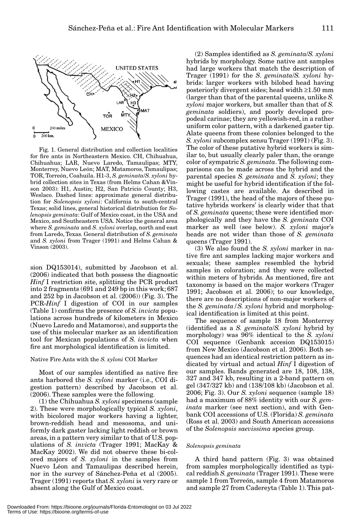

Fig. 1. General distribution and collection localities for fire ants in Northeastern Mexico. CH, Chihuahua, Chihuahua; LAR, Nuevo Laredo, Tamaulipas; MTY, Monterrey, Nuevo León; MAT, Matamoros, Tamaulipas; TOR, Torreón, Coahuila. H1-3, *S. geminata*/*S. xyloni* hybrid collection sites in Texas (from Helms Cahan &Vinson 2003): H1, Austin; H2, San Patricio County; H3, Weslaco. Dashed lines: approximate general distribution for *Solenopsis xyloni*: California to south-central Texas; solid lines, general historical distribution for *Solenopsis geminata*: Gulf of Mexico coast, in the USA and Mexico, and Southeastern USA. Notice the general area where *S. geminata* and *S*. *xyloni* overlap, north and east from Laredo, Texas. General distribution of *S. geminata* and *S. xyloni* from Trager (1991) and Helms Cahan & Vinson (2003).

sion DQ153014), submitted by Jacobson et al. (2006) indicated that both possess the diagnostic *Hinf* I restriction site, splitting the PCR product into 2 fragments (691 and 249 bp in this work; 687 and 252 bp in Jacobson et al. (2006)) (Fig. 3). The PCR-*Hinf* I digestion of COI in our samples (Table 1) confirms the presence of *S. invicta* populations across hundreds of kilometers in Mexico (Nuevo Laredo and Matamoros), and supports the use of this molecular marker as an identification tool for Mexican populations of *S. invicta* when fire ant morphological identification is limited.

# Native Fire Ants with the *S. xyloni* COI Marker

Most of our samples identified as native fire ants harbored the *S. xyloni* marker (i.e., COI digestion pattern) described by Jacobson et al. (2006). These samples were the following.

(1) the Chihuahua *S. xyloni* specimens (sample 2). These were morphologically typical *S. xyloni*, with bicolored major workers having a lighter, brown-reddish head and mesosoma, and uniformly dark gaster lacking light reddish or brown areas, in a pattern very similar to that of U.S. populations of *S. invicta* (Trager 1991; MacKay & MacKay 2002). We did not observe these bi-colored majors of *S. xyloni* in the samples from Nuevo Léon and Tamaulipas described herein, nor in the survey of Sánchez-Peña et al (2005). Trager (1991) reports that *S. xyloni* is very rare or absent along the Gulf of Mexico coast.

(2) Samples identified as *S. geminata*/*S. xyloni* hybrids by morphology. Some native ant samples had large workers that match the description of Trager (1991) for the *S*. *geminata*/*S. xyloni* hybrids: larger workers with bilobed head having posteriorly divergent sides; head width ≥1.50 mm (larger than that of the parental queens, unlike *S. xyloni* major workers, but smaller than that of *S. geminata* soldiers), and poorly developed propodeal carinae; they are yellowish-red, in a rather uniform color pattern, with a darkened gaster tip. Alate queens from these colonies belonged to the *S. xyloni* subcomplex sensu Trager (1991) (Fig. 3). The color of these putative hybrid workers is similar to, but usually clearly paler than, the orange color of sympatric *S. geminata*. The following comparisons can be made across the hybrid and the parental species *S. geminata* and *S. xyloni*; they might be useful for hybrid identification if the following castes are available. As described in Trager (1991), the head of the majors of these putative hybrids workers' is clearly wider that that of *S. geminata* queens; these were identified morphologically and they have the *S. geminata* COI marker as well (see below). *S. xyloni* major's heads are not wider than those of *S. geminata* queens (Trager 1991).

(3) We also found the *S. xyloni* marker in native fire ant samples lacking major workers and sexuals; these samples resembled the hybrid samples in coloration; and they were collected within meters of hybrids. As mentioned, fire ant taxonomy is based on the major workers (Trager 1991; Jacobson et al. 2006); to our knowledge, there are no descriptions of non-major workers of the *S. geminata/S. xyloni* hybrid and morphological identification is limited at this point.

The sequence of sample 18 from Monterrey (identified as a *S. geminata*/*S. xyloni* hybrid by morphology) was 96% identical to the *S. xyloni* COI sequence (Genbank accesion DQ153015) from New Mexico (Jacobson et al. 2006). Both sequences had an identical restriction pattern as indicated by virtual and actual *Hinf* I digestion of our samples. Bands generated are 18, 108, 138, 327 and 347 kb, resulting in a 2-band pattern on gel (347/327 kb) and (138/108 kb) (Jacobson et al. 2006; Fig. 3). Our *S. xyloni* sequence (sample 18) had a maximum of 88% identity with our *S. geminata* marker (see next section), and with Genbank COI accessions of U.S. (Florida) *S. geminata* (Ross et al. 2003) and South American accessions of the *Solenopsis saevissima* species group.

#### *Solenopsis geminata*

A third band pattern (Fig. 3) was obtained from samples morphologically identified as typical reddish *S. geminata* (Trager 1991). These were sample 1 from Torreón, sample 4 from Matamoros and sample 27 from Cadereyta (Table 1). This pat-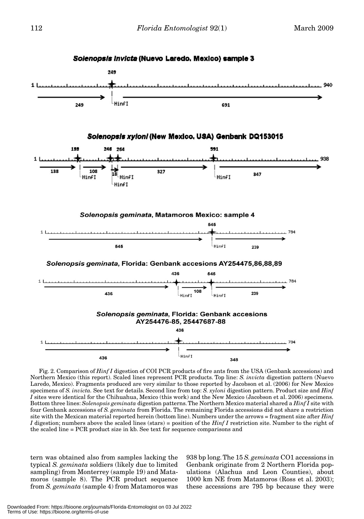

Fig. 2. Comparison of *Hinf I* digestion of COI PCR products of fire ants from the USA (Genbank accessions) and Northern Mexico (this report). Scaled lines represent PCR products. Top line: *S. invicta* digestion pattern (Nuevo Laredo, Mexico). Fragments produced are very similar to those reported by Jacobson et al. (2006) for New Mexico specimens of *S. invicta.* See text for details. Second line from top: *S. xyloni* digestion pattern. Product size and *Hinf I* sites were identical for the Chihuahua, Mexico (this work) and the New Mexico (Jacobson et al. 2006) specimens. Bottom three lines: *Solenopsis geminata* digestion patterns. The Northern Mexico material shared a *Hinf I* site with four Genbank accessions of *S. geminata* from Florida. The remaining Florida accessions did not share a restriction site with the Mexican material reported herein (bottom line). Numbers under the arrows = fragment size after *Hinf I* digestion; numbers above the scaled lines (stars) = position of the *Hinf I* restriction site. Number to the right of the scaled line = PCR product size in kb. See text for sequence comparisons and

tern was obtained also from samples lacking the typical *S. geminata* soldiers (likely due to limited sampling) from Monterrey (sample 19) and Matamoros (sample 8). The PCR product sequence from *S. geminata* (sample 4) from Matamoros was

938 bp long. The 15 *S. geminata* CO1 accessions in Genbank originate from 2 Northern Florida populations (Alachua and Leon Counties), about 1000 km NE from Matamoros (Ross et al. 2003); these accessions are 795 bp because they were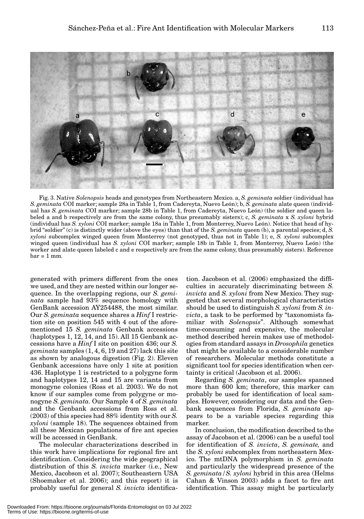

Fig. 3. Native *Solenopsis* heads and genotypes from Northeastern Mexico. a, *S. geminata* soldier (individual has *S. geminata* COI marker; sample 28a in Table 1, from Cadereyta, Nuevo León); b, *S. geminata* alate queen (individual has *S. geminata* COI marker; sample 28b in Table 1, from Cadereyta, Nuevo León) (the soldier and queen labeled a and b respectively are from the same colony, thus presumably sisters); c, *S. geminata* x *S. xyloni* hybrid (individual has *S. xyloni* COI marker; sample 18a in Table 1, from Monterrey, Nuevo León). Notice that head of hybrid "soldier" (c) is distinctly wider (above the eyes) than that of the *S. geminata* queen (b), a parental species; d, *S. xyloni* subcomplex winged queen from Monterrey (not genotyped, thus not in Table 1); e, *S. xyloni* subcomplex winged queen (individual has *S. xyloni* COI marker; sample 18b in Table 1, from Monterrey, Nuevo León) (the worker and alate queen labeled c and e respectively are from the same colony, thus presumably sisters). Reference  $bar = 1$  mm.

generated with primers different from the ones we used, and they are nested within our longer sequence. In the overlapping regions, our *S. geminata* sample had 93% sequence homology with GenBank accession AY254488, the most similar. Our *S. geminata* sequence shares a *Hinf* I restriction site on position 545 with 4 out of the aforementioned 15 *S. geminata* Genbank accessions (haplotypes 1, 12, 14, and 15). All 15 Genbank accessions have a *Hinf* I site on position 436; our *S. geminata* samples (1, 4, 6, 19 and 27) lack this site as shown by analogous digestion (Fig. 2). Eleven Genbank accessions have only 1 site at position 436. Haplotype 1 is restricted to a polygyne form and haplotypes 12, 14 and 15 are variants from monogyne colonies (Ross et al. 2003). We do not know if our samples come from polygyne or monogyne *S. geminata.* Our Sample 4 of *S. geminata* and the Genbank accessions from Ross et al. (2003) of this species had 88% identity with our *S. xyloni* (sample 18). The sequences obtained from all these Mexican populations of fire ant species will be accessed in GenBank.

The molecular characterizations described in this work have implications for regional fire ant identification. Considering the wide geographical distribution of this *S. invicta* marker (i.e., New Mexico, Jacobson et al. 2007); Southeastern USA (Shoemaker et al. 2006); and this report) it is probably useful for general *S. invicta* identification. Jacobson et al. (2006) emphasized the difficulties in accurately discriminating between *S. invicta* and *S. xyloni* from New Mexico. They suggested that several morphological characteristics should be used to distinguish *S. xyloni* from *S. invicta*, a task to be performed by "taxonomists familiar with *Solenopsis*". Although somewhat time-consuming and expensive, the molecular method described herein makes use of methodologies from standard assays in *Drosophila* genetics that might be available to a considerable number of researchers. Molecular methods constitute a significant tool for species identification when certainty is critical (Jacobson et al. 2006).

Regarding *S. geminata*, our samples spanned more than 600 km; therefore, this marker can probably be used for identification of local samples. However, considering our data and the Genbank sequences from Florida, *S. geminata* appears to be a variable species regarding this marker.

In conclusion, the modification described to the assay of Jacobson et al. (2006) can be a useful tool for identification of *S. invicta*, *S. geminate,* and the *S. xyloni* subcomplex from northeastern Mexico. The mtDNA polymorphism in *S. geminata* and particularly the widespread presence of the *S. geminata/S. xyloni* hybrid in this area (Helms Cahan & Vinson 2003) adds a facet to fire ant identification. This assay might be particularly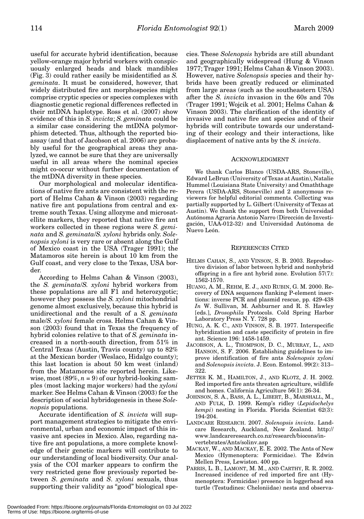useful for accurate hybrid identification, because yellow-orange major hybrid workers with conspicuously enlarged heads and black mandibles (Fig. 3) could rather easily be misidentified as *S. geminata*. It must be considered, however, that widely distributed fire ant morphospecies might comprise cryptic species or species complexes with diagnostic genetic regional differences reflected in their mtDNA haplotype. Ross et al. (2007) show evidence of this in *S. invicta*; *S. geminata* could be a similar case considering the mtDNA polymorphism detected. Thus, although the reported bioassay (and that of Jacobson et al. 2006) are probably useful for the geographical areas they analyzed, we cannot be sure that they are universally useful in all areas where the nominal species might co-occur without further documentation of the mtDNA diversity in these species.

Our morphological and molecular identifications of native fire ants are consistent with the report of Helms Cahan & Vinson (2003) regarding native fire ant populations from central and extreme south Texas. Using allozyme and microsatellite markers, they reported that native fire ant workers collected in these regions were *S. geminata* and *S. geminata*/*S. xyloni* hybrids only. *Solenopsis xyloni* is very rare or absent along the Gulf of Mexico coast in the USA (Trager 1991); the Matamoros site herein is about 10 km from the Gulf coast, and very close to the Texas, USA border.

According to Helms Cahan & Vinson (2003), the *S. geminata*/*S. xyloni* hybrid workers from these populations are all F1 and heterozygotic; however they possess the *S. xyloni* mitochondrial genome almost exclusively, because this hybrid is unidirectional and the result of a *S. geminata* male/*S. xyloni* female cross. Helms Cahan & Vinson (2003) found that in Texas the frequency of hybrid colonies relative to that of *S. geminata* increased in a north-south direction, from 51% in Central Texas (Austin, Travis county) up to 82% at the Mexican border (Weslaco, Hidalgo county); this last location is about 50 km west (inland) from the Matamoros site reported herein. Likewise, most  $(89\%, n=9)$  of our hybrid-looking samples (most lacking major workers) had the *xyloni* marker. See Helms Cahan & Vinson (2003) for the description of social hybridogenesis in these *Solenopsis* populations.

Accurate identification of *S. invicta* will support management strategies to mitigate the environmental, urban and economic impact of this invasive ant species in Mexico. Also, regarding native fire ant populations, a more complete knowledge of their genetic markers will contribute to our understanding of local biodiversity. Our analysis of the COI marker appears to confirm the very restricted gene flow previously reported between *S*. *geminata* and *S*. *xyloni* sexuals, thus supporting their validity as "good" biological species. These *Solenopsis* hybrids are still abundant and geographically widespread (Hung & Vinson 1977; Trager 1991; Helms Cahan & Vinson 2003). However, native *Solenopsis* species and their hybrids have been greatly reduced or eliminated from large areas (such as the southeastern USA) after the *S. invicta* invasion in the 60s and 70s (Trager 1991; Wojcik et al. 2001; Helms Cahan & Vinson 2003). The clarification of the identity of invasive and native fire ant species and of their hybrids will contribute towards our understanding of their ecology and their interactions, like displacement of native ants by the *S. invicta*.

#### ACKNOWLEDGMENT

We thank Carlos Blanco (USDA-ARS, Stoneville), Edward LeBrun (University of Texas at Austin), Natalie Hummel (Louisiana State University) and Omaththage Perera (USDA-ARS, Stoneville) and 2 anonymous reviewers for helpful editorial comments. Collecting was partially supported by L. Gilbert (University of Texas at Austin). We thank the support from both Universidad Autónoma Agraria Antonio Narro (Dirección de Investigación, UAA-012-32) and Universidad Autónoma de Nuevo León.

# REFERENCES CITED

- HELMS CAHAN, S., AND VINSON, S. B. 2003. Reproductive division of labor between hybrid and nonhybrid offspring in a fire ant hybrid zone. Evolution 57(7): 1562-1570.
- HUANG, A. M., REHM, E. J., AND RUBIN, G. M. 2000. Recovery of DNA sequences flanking P-element insertions: inverse PCR and plasmid rescue, pp. 429-438 *In* W. Sullivan, M. Ashburner and R. S. Hawley [eds.], *Drosophila* Protocols. Cold Spring Harbor Laboratory Press N. Y. 728 pp.
- HUNG, A. K. C., AND VINSON, S. B. 1977. Interspecific hybridization and caste specificity of protein in fire ant. Science 196: 1458-1459.
- JACOBSON, A. L., THOMPSON, D. C., MURRAY, L., AND HANSON, S. F. 2006. Establishing guidelines to improve identification of fire ants *Solenopsis xyloni* and *Solenopsis invicta*. J. Econ. Entomol. 99(2): 313– 322.
- JETTER K. M., HAMILTON, J., AND KLOTZ, J. H. 2002. Red imported fire ants threaten agriculture, wildlife and homes. California Agriculture 56(1): 26-34.
- JOHNSON, S. A., BASS, A. L., LIBERT, B., MARSHALL, M., AND FULK, D. 1999. Kemp's ridley (*Lepidochelys kempi*) nesting in Florida. Florida Scientist 62(3): 194-204.
- LANDCARE RESEARCH. 2007. *Solenopsis invicta*. Landcare Research, Auckland, New Zealand. http:// www.landcareresearch.co.nz/research/biocons/invertebrates/Ants/solinv.asp
- MACKAY, W., AND MACKAY, E. E. 2002. The Ants of New Mexico (Hymenoptera: Formicidae). The Edwin Mellen Press, Lewiston. 400 pp.
- PARRIS, L. B., LAMONT, M. M., AND CARTHY, R. R. 2002. Increased incidence of red imported fire ant (Hymenoptera: Formicidae) presence in loggerhead sea turtle (Testudines: Cheloniidae) nests and observa-